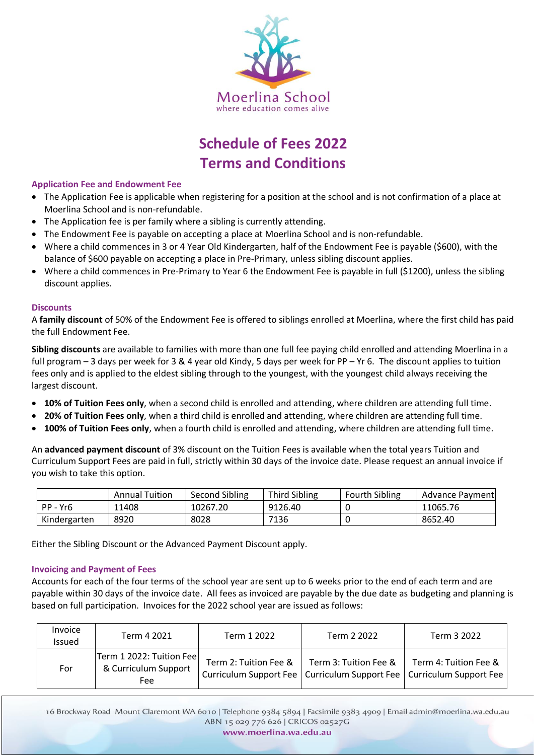

# **Schedule of Fees 2022 Terms and Conditions**

# **Application Fee and Endowment Fee**

- The Application Fee is applicable when registering for a position at the school and is not confirmation of a place at Moerlina School and is non-refundable.
- The Application fee is per family where a sibling is currently attending.
- The Endowment Fee is payable on accepting a place at Moerlina School and is non-refundable.
- Where a child commences in 3 or 4 Year Old Kindergarten, half of the Endowment Fee is payable (\$600), with the balance of \$600 payable on accepting a place in Pre-Primary, unless sibling discount applies.
- Where a child commences in Pre-Primary to Year 6 the Endowment Fee is payable in full (\$1200), unless the sibling discount applies.

# **Discounts**

A **family discount** of 50% of the Endowment Fee is offered to siblings enrolled at Moerlina, where the first child has paid the full Endowment Fee.

**Sibling discounts** are available to families with more than one full fee paying child enrolled and attending Moerlina in a full program – 3 days per week for 3 & 4 year old Kindy, 5 days per week for PP – Yr 6. The discount applies to tuition fees only and is applied to the eldest sibling through to the youngest, with the youngest child always receiving the largest discount.

- **10% of Tuition Fees only**, when a second child is enrolled and attending, where children are attending full time.
- **20% of Tuition Fees only**, when a third child is enrolled and attending, where children are attending full time.
- **100% of Tuition Fees only**, when a fourth child is enrolled and attending, where children are attending full time.

An **advanced payment discount** of 3% discount on the Tuition Fees is available when the total years Tuition and Curriculum Support Fees are paid in full, strictly within 30 days of the invoice date. Please request an annual invoice if you wish to take this option.

|              | <b>Annual Tuition</b> | Second Sibling | <b>Third Sibling</b> | <b>Fourth Sibling</b> | Advance Payment |
|--------------|-----------------------|----------------|----------------------|-----------------------|-----------------|
| PP - Yr6     | 11408                 | 10267.20       | 9126.40              |                       | 11065.76        |
| Kindergarten | 8920                  | 8028           | 7136                 |                       | 8652.40         |

Either the Sibling Discount or the Advanced Payment Discount apply.

# **Invoicing and Payment of Fees**

Accounts for each of the four terms of the school year are sent up to 6 weeks prior to the end of each term and are payable within 30 days of the invoice date. All fees as invoiced are payable by the due date as budgeting and planning is based on full participation. Invoices for the 2022 school year are issued as follows:

| Invoice<br>Issued | Term 4 2021                                             | Term 1 2022           | Term 2 2022           | Term 3 2022                                                                                       |
|-------------------|---------------------------------------------------------|-----------------------|-----------------------|---------------------------------------------------------------------------------------------------|
| For               | Term 1 2022: Tuition Fee<br>& Curriculum Support<br>Fee | Term 2: Tuition Fee & | Term 3: Tuition Fee & | Term 4: Tuition Fee &<br>Curriculum Support Fee   Curriculum Support Fee   Curriculum Support Fee |

16 Brockway Road Mount Claremont WA 6010 | Telephone 9384 5894 | Facsimile 9383 4909 | Email admin@moerlina.wa.edu.au ABN 15 029 776 626 | CRICOS 02527G

www.moerlina.wa.edu.au